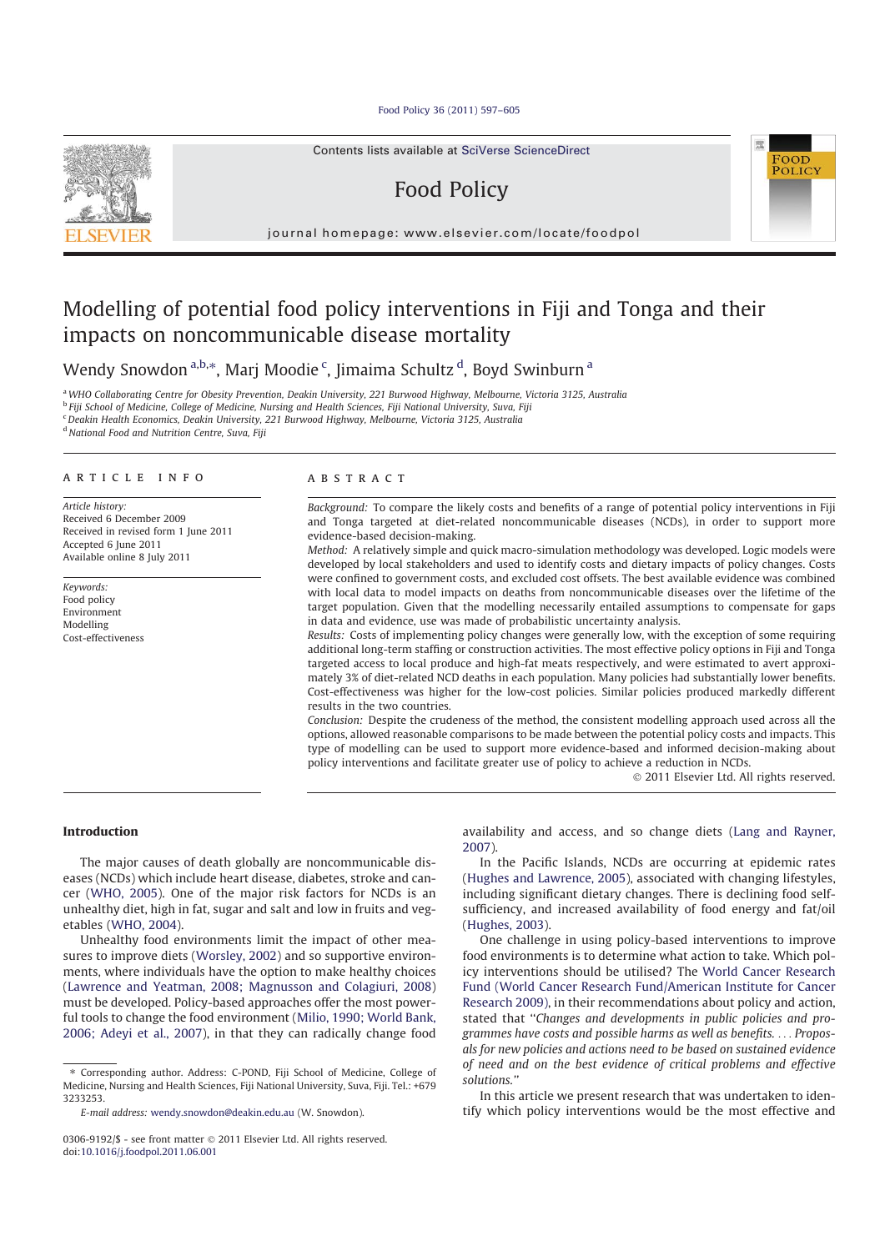Food Policy 36 (2011) 597–605



# Food Policy



journal homepage: www.elsevier.com/locate/foodpol

## Modelling of potential food policy interventions in Fiji and Tonga and their impacts on noncommunicable disease mortality

Wendy Snowdon<sup>a,b,</sup>\*, Marj Moodie <sup>c</sup>, Jimaima Schultz <sup>d</sup>, Boyd Swinburn <sup>a</sup>

<sup>a</sup>WHO Collaborating Centre for Obesity Prevention, Deakin University, 221 Burwood Highway, Melbourne, Victoria 3125, Australia <sup>b</sup> Fiji School of Medicine, College of Medicine, Nursing and Health Sciences, Fiji National University, Suva, Fiji <sup>c</sup>Deakin Health Economics, Deakin University, 221 Burwood Highway, Melbourne, Victoria 3125, Australia <sup>d</sup> National Food and Nutrition Centre, Suva, Fiji

#### article info

Article history: Received 6 December 2009 Received in revised form 1 June 2011 Accepted 6 June 2011 Available online 8 July 2011

Keywords: Food policy Environment Modelling Cost-effectiveness

#### **ABSTRACT**

Background: To compare the likely costs and benefits of a range of potential policy interventions in Fiji and Tonga targeted at diet-related noncommunicable diseases (NCDs), in order to support more evidence-based decision-making.

Method: A relatively simple and quick macro-simulation methodology was developed. Logic models were developed by local stakeholders and used to identify costs and dietary impacts of policy changes. Costs were confined to government costs, and excluded cost offsets. The best available evidence was combined with local data to model impacts on deaths from noncommunicable diseases over the lifetime of the target population. Given that the modelling necessarily entailed assumptions to compensate for gaps in data and evidence, use was made of probabilistic uncertainty analysis.

Results: Costs of implementing policy changes were generally low, with the exception of some requiring additional long-term staffing or construction activities. The most effective policy options in Fiji and Tonga targeted access to local produce and high-fat meats respectively, and were estimated to avert approximately 3% of diet-related NCD deaths in each population. Many policies had substantially lower benefits. Cost-effectiveness was higher for the low-cost policies. Similar policies produced markedly different results in the two countries.

Conclusion: Despite the crudeness of the method, the consistent modelling approach used across all the options, allowed reasonable comparisons to be made between the potential policy costs and impacts. This type of modelling can be used to support more evidence-based and informed decision-making about policy interventions and facilitate greater use of policy to achieve a reduction in NCDs.

- 2011 Elsevier Ltd. All rights reserved.

#### Introduction

The major causes of death globally are noncommunicable diseases (NCDs) which include heart disease, diabetes, stroke and cancer (WHO, 2005). One of the major risk factors for NCDs is an unhealthy diet, high in fat, sugar and salt and low in fruits and vegetables (WHO, 2004).

Unhealthy food environments limit the impact of other measures to improve diets (Worsley, 2002) and so supportive environments, where individuals have the option to make healthy choices (Lawrence and Yeatman, 2008; Magnusson and Colagiuri, 2008) must be developed. Policy-based approaches offer the most powerful tools to change the food environment (Milio, 1990; World Bank, 2006; Adeyi et al., 2007), in that they can radically change food

⇑ Corresponding author. Address: C-POND, Fiji School of Medicine, College of Medicine, Nursing and Health Sciences, Fiji National University, Suva, Fiji. Tel.: +679 3233253.

availability and access, and so change diets (Lang and Rayner, 2007).

In the Pacific Islands, NCDs are occurring at epidemic rates (Hughes and Lawrence, 2005), associated with changing lifestyles, including significant dietary changes. There is declining food selfsufficiency, and increased availability of food energy and fat/oil (Hughes, 2003).

One challenge in using policy-based interventions to improve food environments is to determine what action to take. Which policy interventions should be utilised? The World Cancer Research Fund (World Cancer Research Fund/American Institute for Cancer Research 2009), in their recommendations about policy and action, stated that ''Changes and developments in public policies and programmes have costs and possible harms as well as benefits. ... Proposals for new policies and actions need to be based on sustained evidence of need and on the best evidence of critical problems and effective solutions.''

In this article we present research that was undertaken to identify which policy interventions would be the most effective and

E-mail address: wendy.snowdon@deakin.edu.au (W. Snowdon).

<sup>0306-9192/\$ -</sup> see front matter © 2011 Elsevier Ltd. All rights reserved. doi:10.1016/j.foodpol.2011.06.001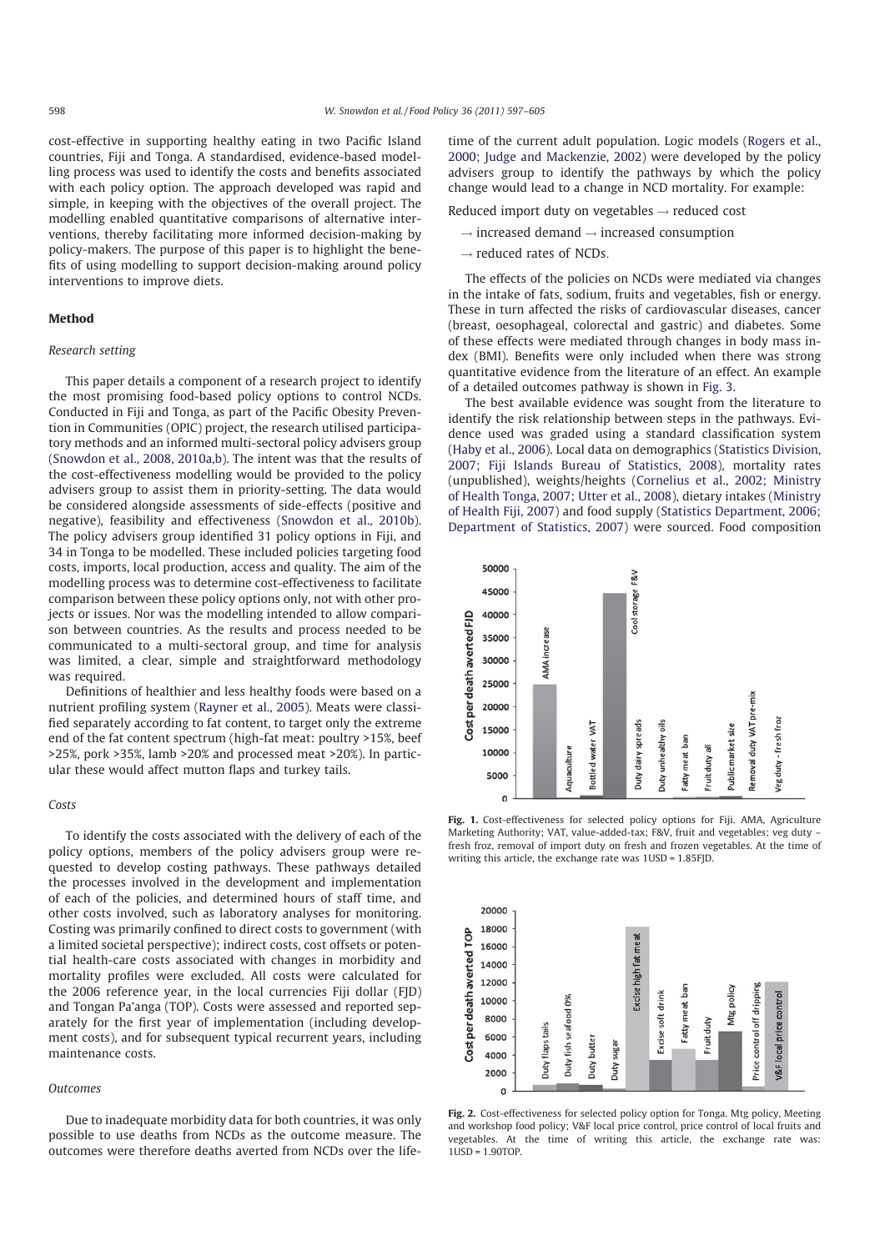cost-effective in supporting healthy eating in two Pacific Island countries, Fiji and Tonga. A standardised, evidence-based modelling process was used to identify the costs and benefits associated with each policy option. The approach developed was rapid and simple, in keeping with the objectives of the overall project. The modelling enabled quantitative comparisons of alternative interventions, thereby facilitating more informed decision-making by policy-makers. The purpose of this paper is to highlight the benefits of using modelling to support decision-making around policy interventions to improve diets.

## Method

## Research setting

This paper details a component of a research project to identify the most promising food-based policy options to control NCDs. Conducted in Fiji and Tonga, as part of the Pacific Obesity Prevention in Communities (OPIC) project, the research utilised participatory methods and an informed multi-sectoral policy advisers group (Snowdon et al., 2008, 2010a,b). The intent was that the results of the cost-effectiveness modelling would be provided to the policy advisers group to assist them in priority-setting. The data would be considered alongside assessments of side-effects (positive and negative), feasibility and effectiveness (Snowdon et al., 2010b). The policy advisers group identified 31 policy options in Fiji, and 34 in Tonga to be modelled. These included policies targeting food costs, imports, local production, access and quality. The aim of the modelling process was to determine cost-effectiveness to facilitate comparison between these policy options only, not with other projects or issues. Nor was the modelling intended to allow comparison between countries. As the results and process needed to be communicated to a multi-sectoral group, and time for analysis was limited, a clear, simple and straightforward methodology was required.

Definitions of healthier and less healthy foods were based on a nutrient profiling system (Rayner et al., 2005). Meats were classified separately according to fat content, to target only the extreme end of the fat content spectrum (high-fat meat: poultry >15%, beef >25%, pork >35%, lamb >20% and processed meat >20%). In particular these would affect mutton flaps and turkey tails.

#### Costs

To identify the costs associated with the delivery of each of the policy options, members of the policy advisers group were requested to develop costing pathways. These pathways detailed the processes involved in the development and implementation of each of the policies, and determined hours of staff time, and other costs involved, such as laboratory analyses for monitoring. Costing was primarily confined to direct costs to government (with a limited societal perspective); indirect costs, cost offsets or potential health-care costs associated with changes in morbidity and mortality profiles were excluded. All costs were calculated for the 2006 reference year, in the local currencies Fiji dollar (FJD) and Tongan Pa'anga (TOP). Costs were assessed and reported separately for the first year of implementation (including development costs), and for subsequent typical recurrent years, including maintenance costs.

#### Outcomes

Due to inadequate morbidity data for both countries, it was only possible to use deaths from NCDs as the outcome measure. The outcomes were therefore deaths averted from NCDs over the life-

time of the current adult population. Logic models (Rogers et al., 2000; Judge and Mackenzie, 2002) were developed by the policy advisers group to identify the pathways by which the policy change would lead to a change in NCD mortality. For example:

Reduced import duty on vegetables  $\rightarrow$  reduced cost

- $\rightarrow$  increased demand  $\rightarrow$  increased consumption
- $\rightarrow$  reduced rates of NCDs.

The effects of the policies on NCDs were mediated via changes in the intake of fats, sodium, fruits and vegetables, fish or energy. These in turn affected the risks of cardiovascular diseases, cancer (breast, oesophageal, colorectal and gastric) and diabetes. Some of these effects were mediated through changes in body mass index (BMI). Benefits were only included when there was strong quantitative evidence from the literature of an effect. An example of a detailed outcomes pathway is shown in Fig. 3.

The best available evidence was sought from the literature to identify the risk relationship between steps in the pathways. Evidence used was graded using a standard classification system (Haby et al., 2006). Local data on demographics (Statistics Division, 2007; Fiji Islands Bureau of Statistics, 2008), mortality rates (unpublished), weights/heights (Cornelius et al., 2002; Ministry of Health Tonga, 2007; Utter et al., 2008), dietary intakes (Ministry of Health Fiji, 2007) and food supply (Statistics Department, 2006; Department of Statistics, 2007) were sourced. Food composition



Fig. 1. Cost-effectiveness for selected policy options for Fiji. AMA, Agriculture Marketing Authority; VAT, value-added-tax; F&V, fruit and vegetables; veg duty – fresh froz, removal of import duty on fresh and frozen vegetables. At the time of writing this article, the exchange rate was 1USD = 1.85FJD.



Fig. 2. Cost-effectiveness for selected policy option for Tonga. Mtg policy, Meeting and workshop food policy; V&F local price control, price control of local fruits and vegetables. At the time of writing this article, the exchange rate was:  $11$  $\overline{SD}$  = 1.90TOP.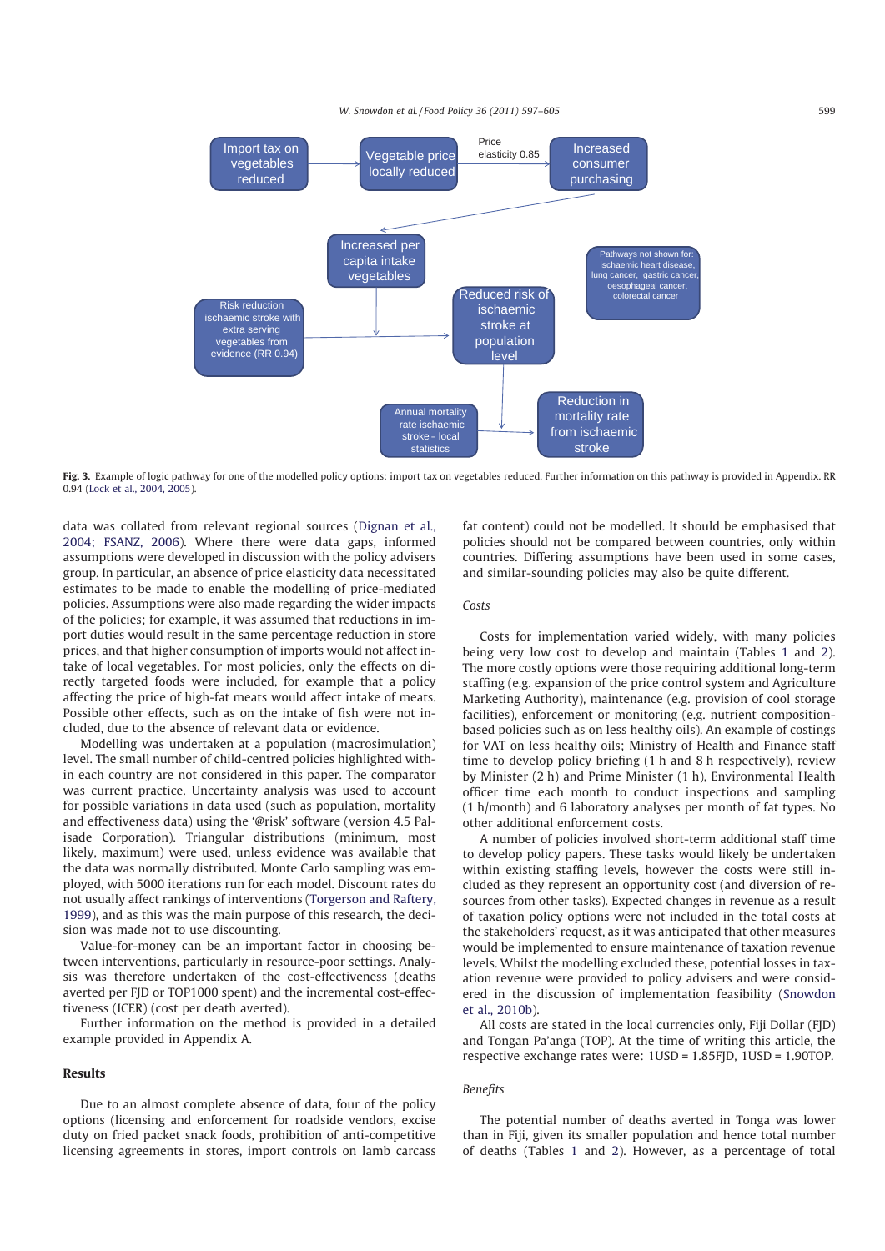W. Snowdon et al./Food Policy 36 (2011) 597-605 599



Fig. 3. Example of logic pathway for one of the modelled policy options: import tax on vegetables reduced. Further information on this pathway is provided in Appendix. RR 0.94 (Lock et al., 2004, 2005).

data was collated from relevant regional sources (Dignan et al., 2004; FSANZ, 2006). Where there were data gaps, informed assumptions were developed in discussion with the policy advisers group. In particular, an absence of price elasticity data necessitated estimates to be made to enable the modelling of price-mediated policies. Assumptions were also made regarding the wider impacts of the policies; for example, it was assumed that reductions in import duties would result in the same percentage reduction in store prices, and that higher consumption of imports would not affect intake of local vegetables. For most policies, only the effects on directly targeted foods were included, for example that a policy affecting the price of high-fat meats would affect intake of meats. Possible other effects, such as on the intake of fish were not included, due to the absence of relevant data or evidence.

Modelling was undertaken at a population (macrosimulation) level. The small number of child-centred policies highlighted within each country are not considered in this paper. The comparator was current practice. Uncertainty analysis was used to account for possible variations in data used (such as population, mortality and effectiveness data) using the '@risk' software (version 4.5 Palisade Corporation). Triangular distributions (minimum, most likely, maximum) were used, unless evidence was available that the data was normally distributed. Monte Carlo sampling was employed, with 5000 iterations run for each model. Discount rates do not usually affect rankings of interventions (Torgerson and Raftery, 1999), and as this was the main purpose of this research, the decision was made not to use discounting.

Value-for-money can be an important factor in choosing between interventions, particularly in resource-poor settings. Analysis was therefore undertaken of the cost-effectiveness (deaths averted per FJD or TOP1000 spent) and the incremental cost-effectiveness (ICER) (cost per death averted).

Further information on the method is provided in a detailed example provided in Appendix A.

### Results

Due to an almost complete absence of data, four of the policy options (licensing and enforcement for roadside vendors, excise duty on fried packet snack foods, prohibition of anti-competitive licensing agreements in stores, import controls on lamb carcass fat content) could not be modelled. It should be emphasised that policies should not be compared between countries, only within countries. Differing assumptions have been used in some cases, and similar-sounding policies may also be quite different.

## Costs

Costs for implementation varied widely, with many policies being very low cost to develop and maintain (Tables 1 and 2). The more costly options were those requiring additional long-term staffing (e.g. expansion of the price control system and Agriculture Marketing Authority), maintenance (e.g. provision of cool storage facilities), enforcement or monitoring (e.g. nutrient compositionbased policies such as on less healthy oils). An example of costings for VAT on less healthy oils; Ministry of Health and Finance staff time to develop policy briefing (1 h and 8 h respectively), review by Minister (2 h) and Prime Minister (1 h), Environmental Health officer time each month to conduct inspections and sampling (1 h/month) and 6 laboratory analyses per month of fat types. No other additional enforcement costs.

A number of policies involved short-term additional staff time to develop policy papers. These tasks would likely be undertaken within existing staffing levels, however the costs were still included as they represent an opportunity cost (and diversion of resources from other tasks). Expected changes in revenue as a result of taxation policy options were not included in the total costs at the stakeholders' request, as it was anticipated that other measures would be implemented to ensure maintenance of taxation revenue levels. Whilst the modelling excluded these, potential losses in taxation revenue were provided to policy advisers and were considered in the discussion of implementation feasibility (Snowdon et al., 2010b).

All costs are stated in the local currencies only, Fiji Dollar (FJD) and Tongan Pa'anga (TOP). At the time of writing this article, the respective exchange rates were: 1USD = 1.85FJD, 1USD = 1.90TOP.

#### Benefits

The potential number of deaths averted in Tonga was lower than in Fiji, given its smaller population and hence total number of deaths (Tables 1 and 2). However, as a percentage of total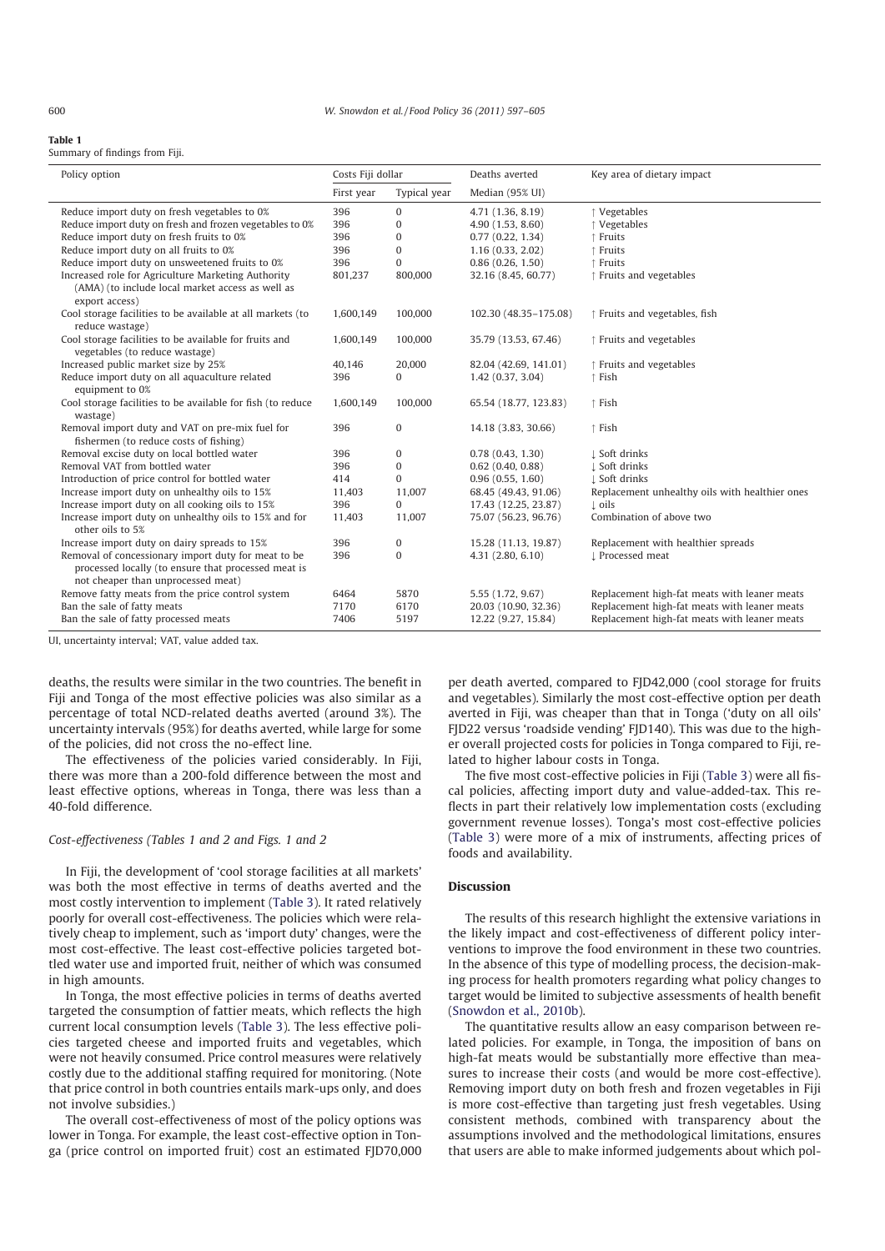## Table 1

Summary of findings from Fiji.

| Policy option                                                                             | Costs Fiji dollar |                | Deaths averted        | Key area of dietary impact                     |
|-------------------------------------------------------------------------------------------|-------------------|----------------|-----------------------|------------------------------------------------|
|                                                                                           | First year        | Typical year   | Median (95% UI)       |                                                |
| Reduce import duty on fresh vegetables to 0%                                              | 396               | $\mathbf{0}$   | 4.71 (1.36, 8.19)     | ↑ Vegetables                                   |
| Reduce import duty on fresh and frozen vegetables to 0%                                   | 396               | 0              | 4.90 (1.53, 8.60)     | ↑ Vegetables                                   |
| Reduce import duty on fresh fruits to 0%                                                  | 396               | 0              | 0.77(0.22, 1.34)      | ↑ Fruits                                       |
| Reduce import duty on all fruits to 0%                                                    | 396               | 0              | 1.16(0.33, 2.02)      | ↑ Fruits                                       |
| Reduce import duty on unsweetened fruits to 0%                                            | 396               | $\overline{0}$ | 0.86(0.26, 1.50)      | ↑ Fruits                                       |
| Increased role for Agriculture Marketing Authority                                        | 801,237           | 800,000        | 32.16 (8.45, 60.77)   | ↑ Fruits and vegetables                        |
| (AMA) (to include local market access as well as<br>export access)                        |                   |                |                       |                                                |
| Cool storage facilities to be available at all markets (to<br>reduce wastage)             | 1,600,149         | 100,000        | 102.30 (48.35-175.08) | ↑ Fruits and vegetables, fish                  |
| Cool storage facilities to be available for fruits and<br>vegetables (to reduce wastage)  | 1,600,149         | 100,000        | 35.79 (13.53, 67.46)  | ↑ Fruits and vegetables                        |
| Increased public market size by 25%                                                       | 40,146            | 20,000         | 82.04 (42.69, 141.01) | ↑ Fruits and vegetables                        |
| Reduce import duty on all aquaculture related<br>equipment to 0%                          | 396               | $\Omega$       | 1.42 (0.37, 3.04)     | ↑ Fish                                         |
| Cool storage facilities to be available for fish (to reduce<br>wastage)                   | 1,600,149         | 100,000        | 65.54 (18.77, 123.83) | ↑ Fish                                         |
| Removal import duty and VAT on pre-mix fuel for<br>fishermen (to reduce costs of fishing) | 396               | $\mathbf{0}$   | 14.18 (3.83, 30.66)   | ↑ Fish                                         |
| Removal excise duty on local bottled water                                                | 396               | $\mathbf{0}$   | 0.78(0.43, 1.30)      | L Soft drinks                                  |
| Removal VAT from bottled water                                                            | 396               | $\bf{0}$       | $0.62$ (0.40, 0.88)   | L Soft drinks                                  |
| Introduction of price control for bottled water                                           | 414               | $\Omega$       | 0.96(0.55, 1.60)      | L Soft drinks                                  |
| Increase import duty on unhealthy oils to 15%                                             | 11,403            | 11,007         | 68.45 (49.43, 91.06)  | Replacement unhealthy oils with healthier ones |
| Increase import duty on all cooking oils to 15%                                           | 396               | $\Omega$       | 17.43 (12.25, 23.87)  | $\perp$ oils                                   |
| Increase import duty on unhealthy oils to 15% and for<br>other oils to 5%                 | 11,403            | 11,007         | 75.07 (56.23, 96.76)  | Combination of above two                       |
| Increase import duty on dairy spreads to 15%                                              | 396               | $\bf{0}$       | 15.28 (11.13, 19.87)  | Replacement with healthier spreads             |
| Removal of concessionary import duty for meat to be                                       | 396               | $\Omega$       | 4.31 (2.80, 6.10)     | L Processed meat                               |
| processed locally (to ensure that processed meat is<br>not cheaper than unprocessed meat) |                   |                |                       |                                                |
| Remove fatty meats from the price control system                                          | 6464              | 5870           | 5.55 (1.72, 9.67)     | Replacement high-fat meats with leaner meats   |
| Ban the sale of fatty meats                                                               | 7170              | 6170           | 20.03 (10.90, 32.36)  | Replacement high-fat meats with leaner meats   |
| Ban the sale of fatty processed meats                                                     | 7406              | 5197           | 12.22 (9.27, 15.84)   | Replacement high-fat meats with leaner meats   |

UI, uncertainty interval; VAT, value added tax.

deaths, the results were similar in the two countries. The benefit in Fiji and Tonga of the most effective policies was also similar as a percentage of total NCD-related deaths averted (around 3%). The uncertainty intervals (95%) for deaths averted, while large for some of the policies, did not cross the no-effect line.

The effectiveness of the policies varied considerably. In Fiji, there was more than a 200-fold difference between the most and least effective options, whereas in Tonga, there was less than a 40-fold difference.

## Cost-effectiveness (Tables 1 and 2 and Figs. 1 and 2

In Fiji, the development of 'cool storage facilities at all markets' was both the most effective in terms of deaths averted and the most costly intervention to implement (Table 3). It rated relatively poorly for overall cost-effectiveness. The policies which were relatively cheap to implement, such as 'import duty' changes, were the most cost-effective. The least cost-effective policies targeted bottled water use and imported fruit, neither of which was consumed in high amounts.

In Tonga, the most effective policies in terms of deaths averted targeted the consumption of fattier meats, which reflects the high current local consumption levels (Table 3). The less effective policies targeted cheese and imported fruits and vegetables, which were not heavily consumed. Price control measures were relatively costly due to the additional staffing required for monitoring. (Note that price control in both countries entails mark-ups only, and does not involve subsidies.)

The overall cost-effectiveness of most of the policy options was lower in Tonga. For example, the least cost-effective option in Tonga (price control on imported fruit) cost an estimated FJD70,000

per death averted, compared to FJD42,000 (cool storage for fruits and vegetables). Similarly the most cost-effective option per death averted in Fiji, was cheaper than that in Tonga ('duty on all oils' FJD22 versus 'roadside vending' FJD140). This was due to the higher overall projected costs for policies in Tonga compared to Fiji, related to higher labour costs in Tonga.

The five most cost-effective policies in Fiji (Table 3) were all fiscal policies, affecting import duty and value-added-tax. This reflects in part their relatively low implementation costs (excluding government revenue losses). Tonga's most cost-effective policies (Table 3) were more of a mix of instruments, affecting prices of foods and availability.

#### Discussion

The results of this research highlight the extensive variations in the likely impact and cost-effectiveness of different policy interventions to improve the food environment in these two countries. In the absence of this type of modelling process, the decision-making process for health promoters regarding what policy changes to target would be limited to subjective assessments of health benefit (Snowdon et al., 2010b).

The quantitative results allow an easy comparison between related policies. For example, in Tonga, the imposition of bans on high-fat meats would be substantially more effective than measures to increase their costs (and would be more cost-effective). Removing import duty on both fresh and frozen vegetables in Fiji is more cost-effective than targeting just fresh vegetables. Using consistent methods, combined with transparency about the assumptions involved and the methodological limitations, ensures that users are able to make informed judgements about which pol-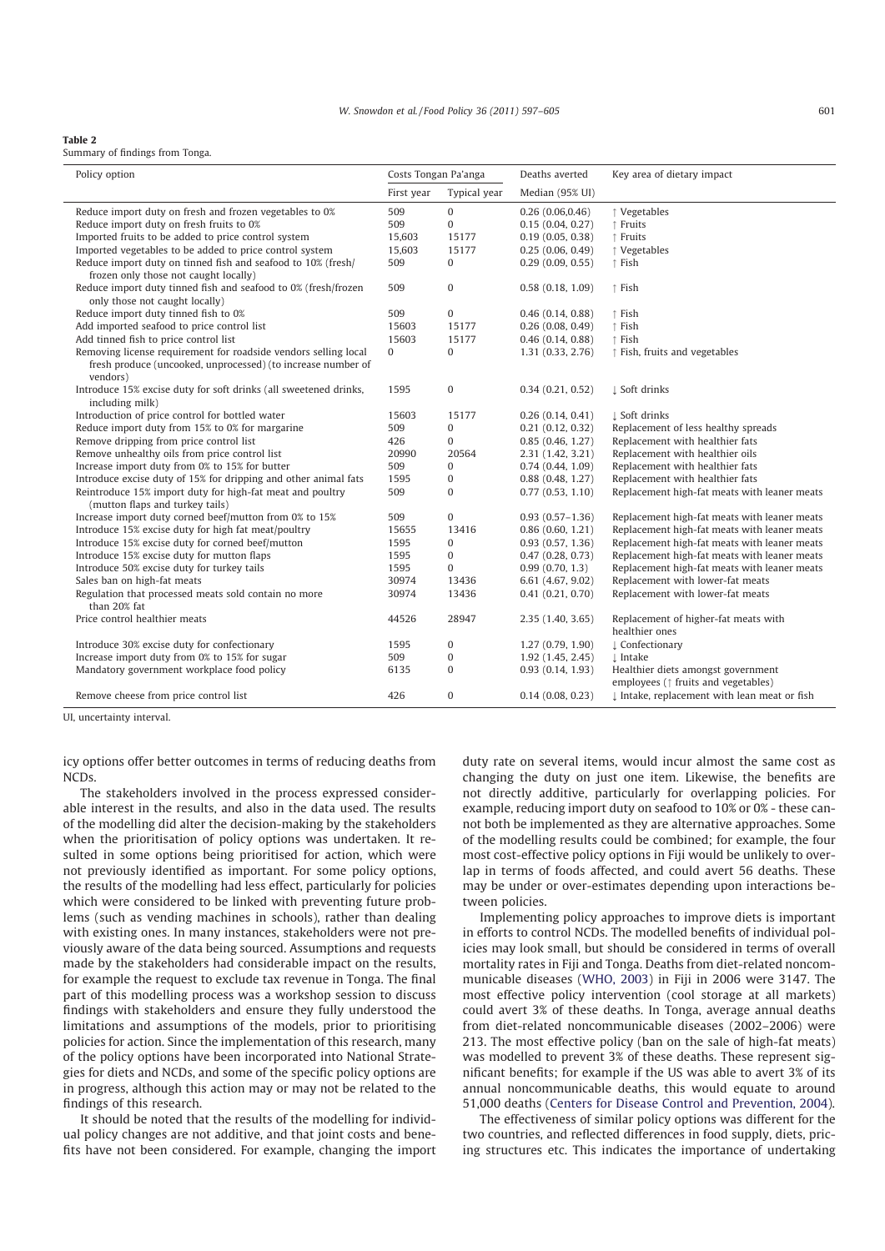#### Table 2

Summary of findings from Tonga.

| Policy option                                                                                         | Costs Tongan Pa'anga |              | Deaths averted      | Key area of dietary impact                                                          |
|-------------------------------------------------------------------------------------------------------|----------------------|--------------|---------------------|-------------------------------------------------------------------------------------|
|                                                                                                       | First year           | Typical year | Median (95% UI)     |                                                                                     |
| Reduce import duty on fresh and frozen vegetables to 0%                                               | 509                  | $\mathbf{0}$ | 0.26(0.06, 0.46)    | ↑ Vegetables                                                                        |
| Reduce import duty on fresh fruits to 0%                                                              | 509                  | $\mathbf{0}$ | 0.15(0.04, 0.27)    | ↑ Fruits                                                                            |
| Imported fruits to be added to price control system                                                   | 15,603               | 15177        | 0.19(0.05, 0.38)    | ↑ Fruits                                                                            |
| Imported vegetables to be added to price control system                                               | 15,603               | 15177        | 0.25(0.06, 0.49)    | ↑ Vegetables                                                                        |
| Reduce import duty on tinned fish and seafood to 10% (fresh/<br>frozen only those not caught locally) | 509                  | $\mathbf{0}$ | 0.29(0.09, 0.55)    | ↑ Fish                                                                              |
| Reduce import duty tinned fish and seafood to 0% (fresh/frozen<br>only those not caught locally)      | 509                  | $\mathbf{0}$ | 0.58(0.18, 1.09)    | ↑ Fish                                                                              |
| Reduce import duty tinned fish to 0%                                                                  | 509                  | $\mathbf{0}$ | 0.46(0.14, 0.88)    | ↑ Fish                                                                              |
| Add imported seafood to price control list                                                            | 15603                | 15177        | 0.26(0.08, 0.49)    | ↑ Fish                                                                              |
| Add tinned fish to price control list                                                                 | 15603                | 15177        | 0.46(0.14, 0.88)    | ↑ Fish                                                                              |
| Removing license requirement for roadside vendors selling local                                       | $\overline{0}$       | $\mathbf{0}$ | 1.31 (0.33, 2.76)   | ↑ Fish, fruits and vegetables                                                       |
| fresh produce (uncooked, unprocessed) (to increase number of<br>vendors)                              |                      |              |                     |                                                                                     |
| Introduce 15% excise duty for soft drinks (all sweetened drinks,<br>including milk)                   | 1595                 | $\mathbf{0}$ | 0.34(0.21, 0.52)    | ↓ Soft drinks                                                                       |
| Introduction of price control for bottled water                                                       | 15603                | 15177        | 0.26(0.14, 0.41)    | L Soft drinks                                                                       |
| Reduce import duty from 15% to 0% for margarine                                                       | 509                  | $\mathbf{0}$ | 0.21(0.12, 0.32)    | Replacement of less healthy spreads                                                 |
| Remove dripping from price control list                                                               | 426                  | $\mathbf{0}$ | 0.85(0.46, 1.27)    | Replacement with healthier fats                                                     |
| Remove unhealthy oils from price control list                                                         | 20990                | 20564        | 2.31 (1.42, 3.21)   | Replacement with healthier oils                                                     |
| Increase import duty from 0% to 15% for butter                                                        | 509                  | $\mathbf{0}$ | 0.74(0.44, 1.09)    | Replacement with healthier fats                                                     |
| Introduce excise duty of 15% for dripping and other animal fats                                       | 1595                 | $\mathbf{0}$ | 0.88(0.48, 1.27)    | Replacement with healthier fats                                                     |
| Reintroduce 15% import duty for high-fat meat and poultry<br>(mutton flaps and turkey tails)          | 509                  | $\mathbf{0}$ | 0.77(0.53, 1.10)    | Replacement high-fat meats with leaner meats                                        |
| Increase import duty corned beef/mutton from 0% to 15%                                                | 509                  | $\mathbf{0}$ | $0.93(0.57 - 1.36)$ | Replacement high-fat meats with leaner meats                                        |
| Introduce 15% excise duty for high fat meat/poultry                                                   | 15655                | 13416        | 0.86(0.60, 1.21)    | Replacement high-fat meats with leaner meats                                        |
| Introduce 15% excise duty for corned beef/mutton                                                      | 1595                 | $\mathbf{0}$ | 0.93(0.57, 1.36)    | Replacement high-fat meats with leaner meats                                        |
| Introduce 15% excise duty for mutton flaps                                                            | 1595                 | $\mathbf{0}$ | 0.47(0.28, 0.73)    | Replacement high-fat meats with leaner meats                                        |
| Introduce 50% excise duty for turkey tails                                                            | 1595                 | $\Omega$     | 0.99(0.70, 1.3)     | Replacement high-fat meats with leaner meats                                        |
| Sales ban on high-fat meats                                                                           | 30974                | 13436        | 6.61 (4.67, 9.02)   | Replacement with lower-fat meats                                                    |
| Regulation that processed meats sold contain no more<br>than 20% fat                                  | 30974                | 13436        | 0.41(0.21, 0.70)    | Replacement with lower-fat meats                                                    |
| Price control healthier meats                                                                         | 44526                | 28947        | 2.35 (1.40, 3.65)   | Replacement of higher-fat meats with<br>healthier ones                              |
| Introduce 30% excise duty for confectionary                                                           | 1595                 | $\mathbf{0}$ | 1.27(0.79, 1.90)    | L Confectionary                                                                     |
| Increase import duty from 0% to 15% for sugar                                                         | 509                  | $\mathbf{0}$ | 1.92 (1.45, 2.45)   | ⊥ Intake                                                                            |
| Mandatory government workplace food policy                                                            | 6135                 | $\Omega$     | 0.93(0.14, 1.93)    | Healthier diets amongst government<br>employees ( $\uparrow$ fruits and vegetables) |
| Remove cheese from price control list                                                                 | 426                  | $\mathbf{0}$ | 0.14(0.08, 0.23)    | I Intake, replacement with lean meat or fish                                        |

UI, uncertainty interval.

icy options offer better outcomes in terms of reducing deaths from NCDs.

The stakeholders involved in the process expressed considerable interest in the results, and also in the data used. The results of the modelling did alter the decision-making by the stakeholders when the prioritisation of policy options was undertaken. It resulted in some options being prioritised for action, which were not previously identified as important. For some policy options, the results of the modelling had less effect, particularly for policies which were considered to be linked with preventing future problems (such as vending machines in schools), rather than dealing with existing ones. In many instances, stakeholders were not previously aware of the data being sourced. Assumptions and requests made by the stakeholders had considerable impact on the results, for example the request to exclude tax revenue in Tonga. The final part of this modelling process was a workshop session to discuss findings with stakeholders and ensure they fully understood the limitations and assumptions of the models, prior to prioritising policies for action. Since the implementation of this research, many of the policy options have been incorporated into National Strategies for diets and NCDs, and some of the specific policy options are in progress, although this action may or may not be related to the findings of this research.

It should be noted that the results of the modelling for individual policy changes are not additive, and that joint costs and benefits have not been considered. For example, changing the import duty rate on several items, would incur almost the same cost as changing the duty on just one item. Likewise, the benefits are not directly additive, particularly for overlapping policies. For example, reducing import duty on seafood to 10% or 0% - these cannot both be implemented as they are alternative approaches. Some of the modelling results could be combined; for example, the four most cost-effective policy options in Fiji would be unlikely to overlap in terms of foods affected, and could avert 56 deaths. These may be under or over-estimates depending upon interactions between policies.

Implementing policy approaches to improve diets is important in efforts to control NCDs. The modelled benefits of individual policies may look small, but should be considered in terms of overall mortality rates in Fiji and Tonga. Deaths from diet-related noncommunicable diseases (WHO, 2003) in Fiji in 2006 were 3147. The most effective policy intervention (cool storage at all markets) could avert 3% of these deaths. In Tonga, average annual deaths from diet-related noncommunicable diseases (2002–2006) were 213. The most effective policy (ban on the sale of high-fat meats) was modelled to prevent 3% of these deaths. These represent significant benefits; for example if the US was able to avert 3% of its annual noncommunicable deaths, this would equate to around 51,000 deaths (Centers for Disease Control and Prevention, 2004).

The effectiveness of similar policy options was different for the two countries, and reflected differences in food supply, diets, pricing structures etc. This indicates the importance of undertaking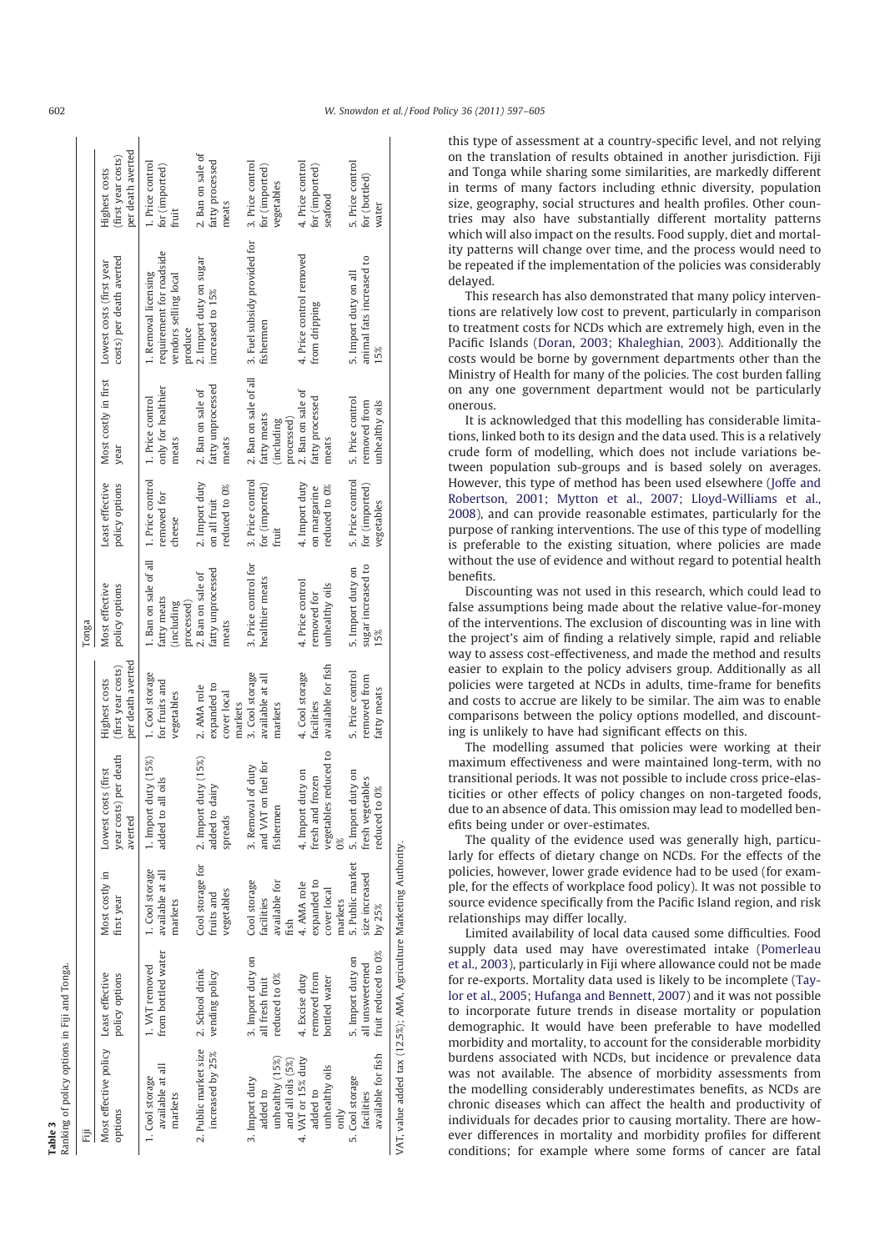| Ranking of policy options in Fiji and Tonga.<br>Table 3               |                                                             |                                                      |                                                                         |                                                          |                                                                 |                                                  |                                                                  |                                                                                      |                                                          |
|-----------------------------------------------------------------------|-------------------------------------------------------------|------------------------------------------------------|-------------------------------------------------------------------------|----------------------------------------------------------|-----------------------------------------------------------------|--------------------------------------------------|------------------------------------------------------------------|--------------------------------------------------------------------------------------|----------------------------------------------------------|
| Ë                                                                     |                                                             |                                                      |                                                                         |                                                          | Tonga                                                           |                                                  |                                                                  |                                                                                      |                                                          |
| Most effective policy Least effective<br>options                      | policy options                                              | Most costly in<br>first year                         | year costs) per death<br>Lowest costs (first<br>averted                 | per death averted<br>(first year costs)<br>Highest costs | Most effective<br>policy options                                | Least effective<br>policy options                | Most costly in first<br>year                                     | costs) per death averted<br>Lowest costs (first year                                 | per death averted<br>(first year costs)<br>Highest costs |
| available at all<br>1. Cool storage<br>markets                        | from bottled water<br>1. VAT removed                        | 1. Cool storage<br>available at all<br>markets       | 1. Import duty (15%)<br>all oils<br>added to                            | 1. Cool storage<br>for fruits and<br>vegetables          | 1. Ban on sale of all<br>fatty meats<br>processed)<br>including | 1. Price control<br>removed for<br>cheese        | only for healthier<br>1. Price control<br>meats                  | requirement for roadside<br>1. Removal licensing<br>vendors selling local<br>produce | 1. Price control<br>for (imported)<br>fruit              |
| 2. Public market size 2. School drink<br>increased by 25%             | vending policy                                              | Cool storage for<br>vegetables<br>fruits and         | 2. Import duty (15%)<br>dairy<br>added to<br>spreads                    | expanded to<br>2. AMA role<br>cover local<br>markets     | fatty unprocessed<br>2. Ban on sale of<br>meats                 | 2. Import duty<br>reduced to 0%<br>on all fruit  | fatty unprocessed<br>2. Ban on sale of<br>meats                  | 2. Import duty on sugar<br>increased to 15%                                          | 2. Ban on sale of<br>fatty processed<br>meats            |
| unhealthy $(15\%)$<br>and all oils (5%)<br>3. Import duty<br>added to | 3. Import duty on<br>reduced to 0%<br>all fresh fruit       | Cool storage<br>available for<br>facilities<br>fish  | and VAT on fuel for<br>3. Removal of duty<br>fishermen                  | 3. Cool storage<br>available at all<br>markets           | 3. Price control for<br>healthier meats                         | 3. Price control<br>for (imported)<br>fruit      | 2. Ban on sale of all<br>fatty meats<br>(including<br>processed) | 3. Fuel subsidy provided for<br>fishermen                                            | 3. Price control<br>for (imported)<br>vegetables         |
| 4. VAT or 15% duty<br>unhealthy oils<br>added to<br>$_{\text{on}}$    | emoved from<br>4. Excise duty<br>bottled water              | expanded to<br>4. AMA role<br>cover local<br>markets | vegetables reduced to<br>4. Import duty on<br>fresh and frozen<br>$0\%$ | available for fish<br>4. Cool storage<br>facilities      | 4. Price control<br>unhealthy oils<br>removed for               | 4. Import duty<br>reduced to 0%<br>on margarine  | 2. Ban on sale of<br>fatty processed<br>meats                    | 4. Price control removed<br>from dripping                                            | 4. Price control<br>for (imported)<br>seafood            |
| available for fish<br>5. Cool storage<br>facilities                   | fruit reduced to 0%<br>5. Import duty on<br>all unsweetened | 5. Public market<br>size increased<br>by $25\%$      | 5. Import duty on<br>fresh vegetables<br>reduced to 0%                  | 5. Price control<br>removed from<br>fatty meats          | sugar increased to<br>5. Import duty on<br>15%                  | 5. Price control<br>for (imported)<br>vegetables | 5. Price control<br>removed from<br>unhealthy oils               | animal fats increased to<br>5. Import duty on all<br>15%                             | 5. Price control<br>for (bottled)<br>water               |
| VAT, value added tax (12.5%); AMA, Agriculture Marketing Authority.   |                                                             |                                                      |                                                                         |                                                          |                                                                 |                                                  |                                                                  |                                                                                      |                                                          |

this type of assessment at a country-specific level, and not relying on the translation of results obtained in another jurisdiction. Fiji and Tonga while sharing some similarities, are markedly different in terms of many factors including ethnic diversity, population size, geography, social structures and health profiles. Other countries may also have substantially different mortality patterns which will also impact on the results. Food supply, diet and mortality patterns will change over time, and the process would need to be repeated if the implementation of the policies was considerably delayed.

This research has also demonstrated that many policy interventions are relatively low cost to prevent, particularly in comparison to treatment costs for NCDs which are extremely high, even in the Pacific Islands (Doran, 2003; Khaleghian, 2003). Additionally the costs would be borne by government departments other than the Ministry of Health for many of the policies. The cost burden falling on any one government department would not be particularly onerous.

It is acknowledged that this modelling has considerable limitations, linked both to its design and the data used. This is a relatively crude form of modelling, which does not include variations between population sub-groups and is based solely on averages. However, this type of method has been used elsewhere (Joffe and Robertson, 2001; Mytton et al., 2007; Lloyd-Williams et al., 2008), and can provide reasonable estimates, particularly for the purpose of ranking interventions. The use of this type of modelling is preferable to the existing situation, where policies are made without the use of evidence and without regard to potential health benefits.

Discounting was not used in this research, which could lead to false assumptions being made about the relative value-for-money of the interventions. The exclusion of discounting was in line with the project's aim of finding a relatively simple, rapid and reliable way to assess cost-effectiveness, and made the method and results easier to explain to the policy advisers group. Additionally as all policies were targeted at NCDs in adults, time-frame for benefits and costs to accrue are likely to be similar. The aim was to enable comparisons between the policy options modelled, and discounting is unlikely to have had significant effects on this.

The modelling assumed that policies were working at their maximum effectiveness and were maintained long-term, with no transitional periods. It was not possible to include cross price-elasticities or other effects of policy changes on non-targeted foods, due to an absence of data. This omission may lead to modelled benefits being under or over-estimates.

The quality of the evidence used was generally high, particularly for effects of dietary change on NCDs. For the effects of the policies, however, lower grade evidence had to be used (for example, for the effects of workplace food policy). It was not possible to source evidence specifically from the Pacific Island region, and risk relationships may differ locally.

Limited availability of local data caused some difficulties. Food supply data used may have overestimated intake (Pomerleau et al., 2003), particularly in Fiji where allowance could not be made for re-exports. Mortality data used is likely to be incomplete (Taylor et al., 2005; Hufanga and Bennett, 2007) and it was not possible to incorporate future trends in disease mortality or population demographic. It would have been preferable to have modelled morbidity and mortality, to account for the considerable morbidity burdens associated with NCDs, but incidence or prevalence data was not available. The absence of morbidity assessments from the modelling considerably underestimates benefits, as NCDs are chronic diseases which can affect the health and productivity of individuals for decades prior to causing mortality. There are however differences in mortality and morbidity profiles for different conditions; for example where some forms of cancer are fatal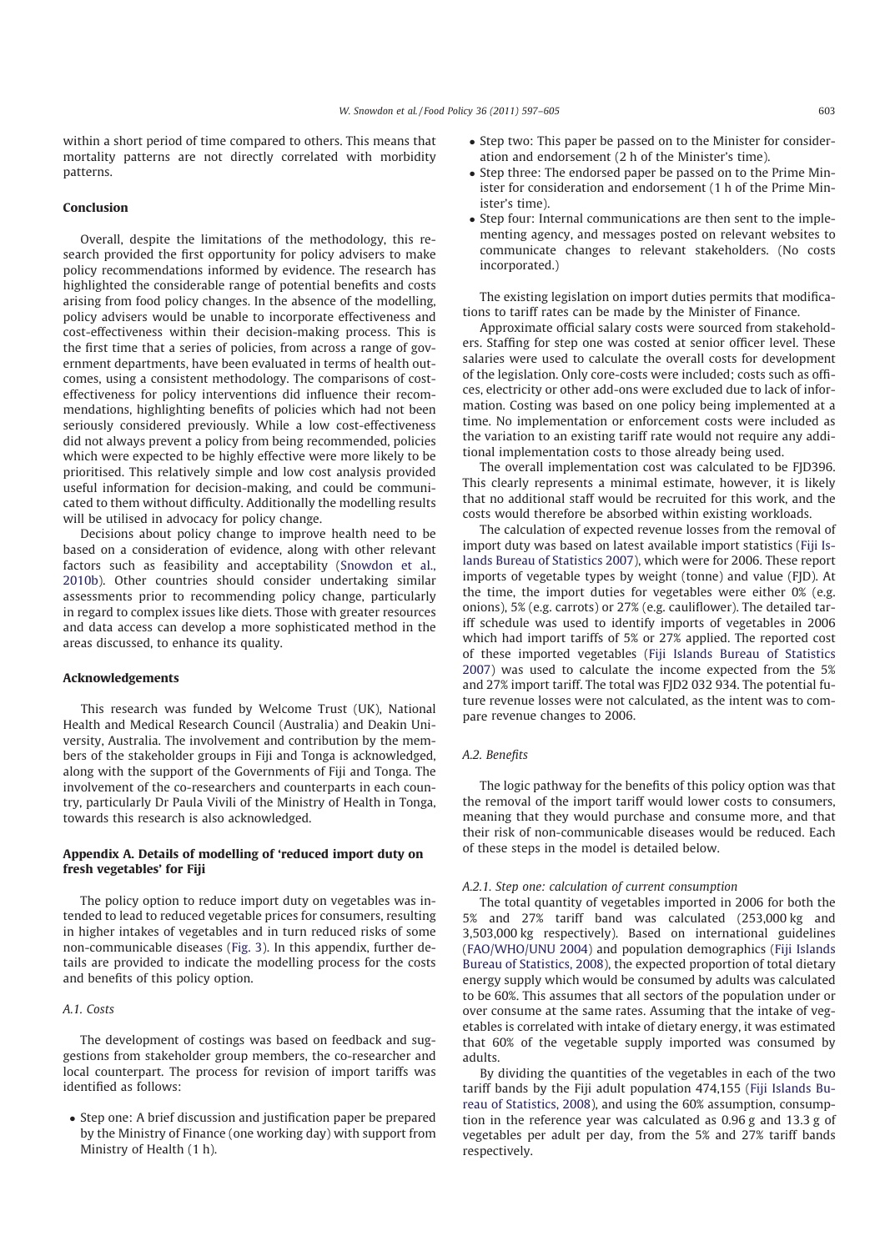within a short period of time compared to others. This means that mortality patterns are not directly correlated with morbidity patterns.

## Conclusion

Overall, despite the limitations of the methodology, this research provided the first opportunity for policy advisers to make policy recommendations informed by evidence. The research has highlighted the considerable range of potential benefits and costs arising from food policy changes. In the absence of the modelling, policy advisers would be unable to incorporate effectiveness and cost-effectiveness within their decision-making process. This is the first time that a series of policies, from across a range of government departments, have been evaluated in terms of health outcomes, using a consistent methodology. The comparisons of costeffectiveness for policy interventions did influence their recommendations, highlighting benefits of policies which had not been seriously considered previously. While a low cost-effectiveness did not always prevent a policy from being recommended, policies which were expected to be highly effective were more likely to be prioritised. This relatively simple and low cost analysis provided useful information for decision-making, and could be communicated to them without difficulty. Additionally the modelling results will be utilised in advocacy for policy change.

Decisions about policy change to improve health need to be based on a consideration of evidence, along with other relevant factors such as feasibility and acceptability (Snowdon et al., 2010b). Other countries should consider undertaking similar assessments prior to recommending policy change, particularly in regard to complex issues like diets. Those with greater resources and data access can develop a more sophisticated method in the areas discussed, to enhance its quality.

#### Acknowledgements

This research was funded by Welcome Trust (UK), National Health and Medical Research Council (Australia) and Deakin University, Australia. The involvement and contribution by the members of the stakeholder groups in Fiji and Tonga is acknowledged, along with the support of the Governments of Fiji and Tonga. The involvement of the co-researchers and counterparts in each country, particularly Dr Paula Vivili of the Ministry of Health in Tonga, towards this research is also acknowledged.

## Appendix A. Details of modelling of 'reduced import duty on fresh vegetables' for Fiji

The policy option to reduce import duty on vegetables was intended to lead to reduced vegetable prices for consumers, resulting in higher intakes of vegetables and in turn reduced risks of some non-communicable diseases (Fig. 3). In this appendix, further details are provided to indicate the modelling process for the costs and benefits of this policy option.

### A.1. Costs

The development of costings was based on feedback and suggestions from stakeholder group members, the co-researcher and local counterpart. The process for revision of import tariffs was identified as follows:

- Step one: A brief discussion and justification paper be prepared by the Ministry of Finance (one working day) with support from Ministry of Health (1 h).

- Step two: This paper be passed on to the Minister for consideration and endorsement (2 h of the Minister's time).
- Step three: The endorsed paper be passed on to the Prime Minister for consideration and endorsement (1 h of the Prime Minister's time).
- Step four: Internal communications are then sent to the implementing agency, and messages posted on relevant websites to communicate changes to relevant stakeholders. (No costs incorporated.)

The existing legislation on import duties permits that modifications to tariff rates can be made by the Minister of Finance.

Approximate official salary costs were sourced from stakeholders. Staffing for step one was costed at senior officer level. These salaries were used to calculate the overall costs for development of the legislation. Only core-costs were included; costs such as offices, electricity or other add-ons were excluded due to lack of information. Costing was based on one policy being implemented at a time. No implementation or enforcement costs were included as the variation to an existing tariff rate would not require any additional implementation costs to those already being used.

The overall implementation cost was calculated to be FJD396. This clearly represents a minimal estimate, however, it is likely that no additional staff would be recruited for this work, and the costs would therefore be absorbed within existing workloads.

The calculation of expected revenue losses from the removal of import duty was based on latest available import statistics (Fiji Islands Bureau of Statistics 2007), which were for 2006. These report imports of vegetable types by weight (tonne) and value (FJD). At the time, the import duties for vegetables were either 0% (e.g. onions), 5% (e.g. carrots) or 27% (e.g. cauliflower). The detailed tariff schedule was used to identify imports of vegetables in 2006 which had import tariffs of 5% or 27% applied. The reported cost of these imported vegetables (Fiji Islands Bureau of Statistics 2007) was used to calculate the income expected from the 5% and 27% import tariff. The total was FJD2 032 934. The potential future revenue losses were not calculated, as the intent was to compare revenue changes to 2006.

## A.2. Benefits

The logic pathway for the benefits of this policy option was that the removal of the import tariff would lower costs to consumers, meaning that they would purchase and consume more, and that their risk of non-communicable diseases would be reduced. Each of these steps in the model is detailed below.

#### A.2.1. Step one: calculation of current consumption

The total quantity of vegetables imported in 2006 for both the 5% and 27% tariff band was calculated (253,000 kg and 3,503,000 kg respectively). Based on international guidelines (FAO/WHO/UNU 2004) and population demographics (Fiji Islands Bureau of Statistics, 2008), the expected proportion of total dietary energy supply which would be consumed by adults was calculated to be 60%. This assumes that all sectors of the population under or over consume at the same rates. Assuming that the intake of vegetables is correlated with intake of dietary energy, it was estimated that 60% of the vegetable supply imported was consumed by adults.

By dividing the quantities of the vegetables in each of the two tariff bands by the Fiji adult population 474,155 (Fiji Islands Bureau of Statistics, 2008), and using the 60% assumption, consumption in the reference year was calculated as 0.96 g and 13.3 g of vegetables per adult per day, from the 5% and 27% tariff bands respectively.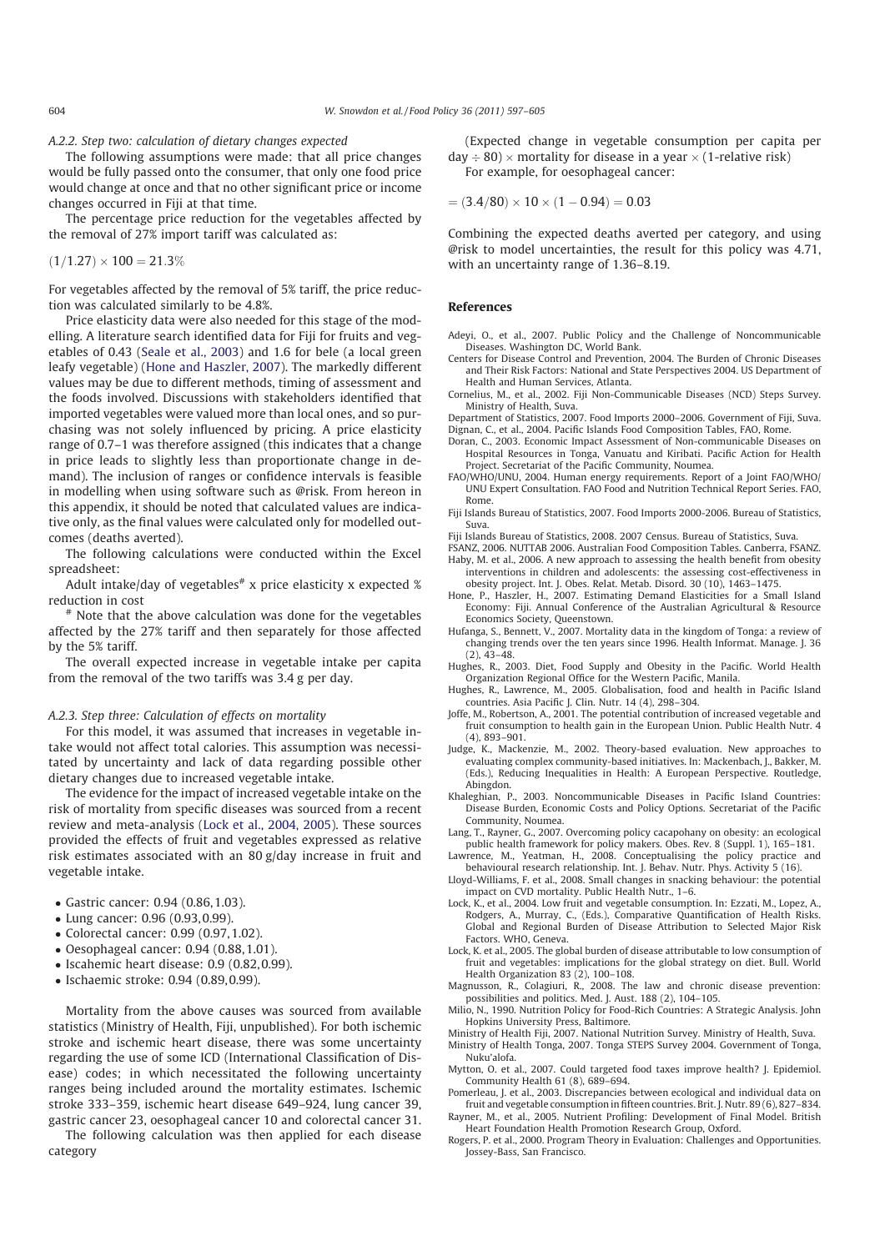## A.2.2. Step two: calculation of dietary changes expected

The following assumptions were made: that all price changes would be fully passed onto the consumer, that only one food price would change at once and that no other significant price or income changes occurred in Fiji at that time.

The percentage price reduction for the vegetables affected by the removal of 27% import tariff was calculated as:

### $(1/1.27) \times 100 = 21.3\%$

For vegetables affected by the removal of 5% tariff, the price reduction was calculated similarly to be 4.8%.

Price elasticity data were also needed for this stage of the modelling. A literature search identified data for Fiji for fruits and vegetables of 0.43 (Seale et al., 2003) and 1.6 for bele (a local green leafy vegetable) (Hone and Haszler, 2007). The markedly different values may be due to different methods, timing of assessment and the foods involved. Discussions with stakeholders identified that imported vegetables were valued more than local ones, and so purchasing was not solely influenced by pricing. A price elasticity range of 0.7–1 was therefore assigned (this indicates that a change in price leads to slightly less than proportionate change in demand). The inclusion of ranges or confidence intervals is feasible in modelling when using software such as @risk. From hereon in this appendix, it should be noted that calculated values are indicative only, as the final values were calculated only for modelled outcomes (deaths averted).

The following calculations were conducted within the Excel spreadsheet:

Adult intake/day of vegetables<sup>#</sup> x price elasticity x expected  $%$ reduction in cost

# Note that the above calculation was done for the vegetables affected by the 27% tariff and then separately for those affected by the 5% tariff.

The overall expected increase in vegetable intake per capita from the removal of the two tariffs was 3.4 g per day.

#### A.2.3. Step three: Calculation of effects on mortality

For this model, it was assumed that increases in vegetable intake would not affect total calories. This assumption was necessitated by uncertainty and lack of data regarding possible other dietary changes due to increased vegetable intake.

The evidence for the impact of increased vegetable intake on the risk of mortality from specific diseases was sourced from a recent review and meta-analysis (Lock et al., 2004, 2005). These sources provided the effects of fruit and vegetables expressed as relative risk estimates associated with an 80 g/day increase in fruit and vegetable intake.

- Gastric cancer: 0.94 (0.86,1.03).
- Lung cancer: 0.96 (0.93,0.99).
- Colorectal cancer: 0.99 (0.97,1.02).
- Oesophageal cancer: 0.94 (0.88,1.01).
- Iscahemic heart disease: 0.9 (0.82,0.99).
- Ischaemic stroke: 0.94 (0.89,0.99).

Mortality from the above causes was sourced from available statistics (Ministry of Health, Fiji, unpublished). For both ischemic stroke and ischemic heart disease, there was some uncertainty regarding the use of some ICD (International Classification of Disease) codes; in which necessitated the following uncertainty ranges being included around the mortality estimates. Ischemic stroke 333–359, ischemic heart disease 649–924, lung cancer 39, gastric cancer 23, oesophageal cancer 10 and colorectal cancer 31.

The following calculation was then applied for each disease category

(Expected change in vegetable consumption per capita per  $day \div 80$ )  $\times$  mortality for disease in a year  $\times$  (1-relative risk) For example, for oesophageal cancer:

 $=(3.4/80) \times 10 \times (1 - 0.94) = 0.03$ 

Combining the expected deaths averted per category, and using @risk to model uncertainties, the result for this policy was 4.71, with an uncertainty range of 1.36–8.19.

#### References

- Adeyi, O., et al., 2007. Public Policy and the Challenge of Noncommunicable Diseases. Washington DC, World Bank.
- Centers for Disease Control and Prevention, 2004. The Burden of Chronic Diseases and Their Risk Factors: National and State Perspectives 2004. US Department of Health and Human Services, Atlanta.
- Cornelius, M., et al., 2002. Fiji Non-Communicable Diseases (NCD) Steps Survey. Ministry of Health, Suva.

Department of Statistics, 2007. Food Imports 2000–2006. Government of Fiji, Suva. Dignan, C., et al., 2004. Pacific Islands Food Composition Tables, FAO, Rome.

- Doran, C., 2003. Economic Impact Assessment of Non-communicable Diseases on Hospital Resources in Tonga, Vanuatu and Kiribati. Pacific Action for Health Project. Secretariat of the Pacific Community, Noumea.
- FAO/WHO/UNU, 2004. Human energy requirements. Report of a Joint FAO/WHO/ UNU Expert Consultation. FAO Food and Nutrition Technical Report Series. FAO, Rome.
- Fiji Islands Bureau of Statistics, 2007. Food Imports 2000-2006. Bureau of Statistics, Suva.
- Fiji Islands Bureau of Statistics, 2008. 2007 Census. Bureau of Statistics, Suva.
- FSANZ, 2006. NUTTAB 2006. Australian Food Composition Tables. Canberra, FSANZ. Haby, M. et al., 2006. A new approach to assessing the health benefit from obesity interventions in children and adolescents: the assessing cost-effectiveness in
- obesity project. Int. J. Obes. Relat. Metab. Disord. 30 (10), 1463–1475. Hone, P., Haszler, H., 2007. Estimating Demand Elasticities for a Small Island Economy: Fiji. Annual Conference of the Australian Agricultural & Resource
- Economics Society, Queenstown. Hufanga, S., Bennett, V., 2007. Mortality data in the kingdom of Tonga: a review of changing trends over the ten years since 1996. Health Informat. Manage. J. 36  $(2), 43-48.$

Hughes, R., 2003. Diet, Food Supply and Obesity in the Pacific. World Health Organization Regional Office for the Western Pacific, Manila.

Hughes, R., Lawrence, M., 2005. Globalisation, food and health in Pacific Island countries. Asia Pacific J. Clin. Nutr. 14 (4), 298–304.

- Joffe, M., Robertson, A., 2001. The potential contribution of increased vegetable and fruit consumption to health gain in the European Union. Public Health Nutr. 4 (4), 893–901.
- Judge, K., Mackenzie, M., 2002. Theory-based evaluation. New approaches to evaluating complex community-based initiatives. In: Mackenbach, J., Bakker, M. (Eds.), Reducing Inequalities in Health: A European Perspective. Routledge, Abingdon.
- Khaleghian, P., 2003. Noncommunicable Diseases in Pacific Island Countries: Disease Burden, Economic Costs and Policy Options. Secretariat of the Pacific Community, Noumea.
- Lang, T., Rayner, G., 2007. Overcoming policy cacapohany on obesity: an ecological public health framework for policy makers. Obes. Rev. 8 (Suppl. 1), 165–181. Lawrence, M., Yeatman, H., 2008. Conceptualising the policy practice and
- behavioural research relationship. Int. J. Behav. Nutr. Phys. Activity 5 (16).
- Lloyd-Williams, F. et al., 2008. Small changes in snacking behaviour: the potential impact on CVD mortality. Public Health Nutr., 1–6.
- Lock, K., et al., 2004. Low fruit and vegetable consumption. In: Ezzati, M., Lopez, A., Rodgers, A., Murray, C., (Eds.), Comparative Quantification of Health Risks. Global and Regional Burden of Disease Attribution to Selected Major Risk Factors. WHO, Geneva.
- Lock, K. et al., 2005. The global burden of disease attributable to low consumption of fruit and vegetables: implications for the global strategy on diet. Bull. World Health Organization 83 (2), 100–108.
- Magnusson, R., Colagiuri, R., 2008. The law and chronic disease prevention: possibilities and politics. Med. J. Aust. 188 (2), 104–105.
- Milio, N., 1990. Nutrition Policy for Food-Rich Countries: A Strategic Analysis. John Hopkins University Press, Baltimore.
- Ministry of Health Fiji, 2007. National Nutrition Survey. Ministry of Health, Suva.
- Ministry of Health Tonga, 2007. Tonga STEPS Survey 2004. Government of Tonga, Nuku'alofa.
- Mytton, O. et al., 2007. Could targeted food taxes improve health? J. Epidemiol. Community Health 61 (8), 689–694.

Pomerleau, J. et al., 2003. Discrepancies between ecological and individual data on fruit and vegetable consumption in fifteen countries. Brit. J. Nutr. 89 (6), 827–834. Rayner, M., et al., 2005. Nutrient Profiling: Development of Final Model. British

Heart Foundation Health Promotion Research Group, Oxford.

Rogers, P. et al., 2000. Program Theory in Evaluation: Challenges and Opportunities. Jossey-Bass, San Francisco.